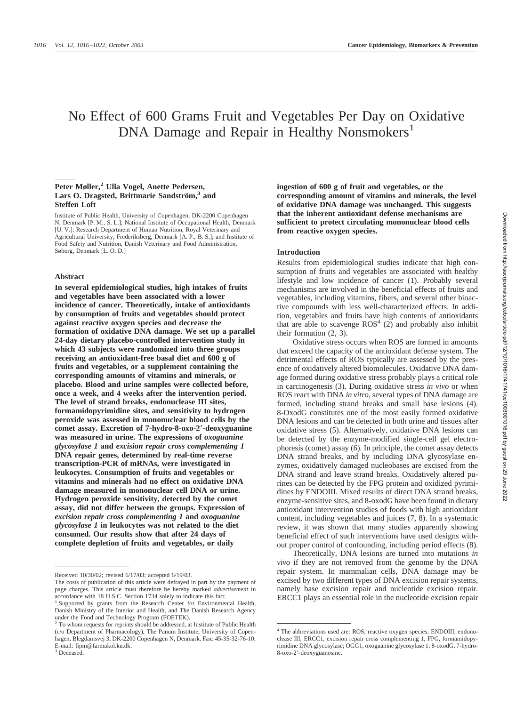# No Effect of 600 Grams Fruit and Vegetables Per Day on Oxidative DNA Damage and Repair in Healthy Nonsmokers<sup>1</sup>

## Peter Møller,<sup>2</sup> Ulla Vogel, Anette Pedersen, Lars O. Dragsted, Brittmarie Sandström,<sup>3</sup> and **Steffen Loft**

Institute of Public Health, University of Copenhagen, DK-2200 Copenhagen N, Denmark [P. M., S. L.]; National Institute of Occupational Health, Denmark [U. V.]; Research Department of Human Nutrition, Royal Veterinary and Agricultural University, Frederiksberg, Denmark [A. P., B. S.]; and Institute of Food Safety and Nutrition, Danish Veterinary and Food Administration, Søborg, Denmark [L. O. D.]

#### **Abstract**

**In several epidemiological studies, high intakes of fruits and vegetables have been associated with a lower incidence of cancer. Theoretically, intake of antioxidants by consumption of fruits and vegetables should protect against reactive oxygen species and decrease the formation of oxidative DNA damage. We set up a parallel 24-day dietary placebo-controlled intervention study in which 43 subjects were randomized into three groups receiving an antioxidant-free basal diet and 600 g of fruits and vegetables, or a supplement containing the corresponding amounts of vitamins and minerals, or placebo. Blood and urine samples were collected before, once a week, and 4 weeks after the intervention period. The level of strand breaks, endonuclease III sites, formamidopyrimidine sites, and sensitivity to hydrogen peroxide was assessed in mononuclear blood cells by the comet assay. Excretion of 7-hydro-8-oxo-2-deoxyguanine was measured in urine. The expressions of** *oxoguanine glycosylase 1* **and** *excision repair cross complementing 1* **DNA repair genes, determined by real-time reverse transcription-PCR of mRNAs, were investigated in leukocytes. Consumption of fruits and vegetables or vitamins and minerals had no effect on oxidative DNA damage measured in mononuclear cell DNA or urine. Hydrogen peroxide sensitivity, detected by the comet assay, did not differ between the groups. Expression of** *excision repair cross complementing 1* **and** *oxoguanine glycosylase 1* **in leukocytes was not related to the diet consumed. Our results show that after 24 days of complete depletion of fruits and vegetables, or daily**

**ingestion of 600 g of fruit and vegetables, or the corresponding amount of vitamins and minerals, the level of oxidative DNA damage was unchanged. This suggests that the inherent antioxidant defense mechanisms are sufficient to protect circulating mononuclear blood cells from reactive oxygen species.**

## **Introduction**

Results from epidemiological studies indicate that high consumption of fruits and vegetables are associated with healthy lifestyle and low incidence of cancer (1). Probably several mechanisms are involved in the beneficial effects of fruits and vegetables, including vitamins, fibers, and several other bioactive compounds with less well-characterized effects. In addition, vegetables and fruits have high contents of antioxidants that are able to scavenge  $ROS<sup>4</sup>$  (2) and probably also inhibit their formation (2, 3).

Oxidative stress occurs when ROS are formed in amounts that exceed the capacity of the antioxidant defense system. The detrimental effects of ROS typically are assessed by the presence of oxidatively altered biomolecules. Oxidative DNA damage formed during oxidative stress probably plays a critical role in carcinogenesis (3). During oxidative stress *in vivo* or when ROS react with DNA *in vitro*, several types of DNA damage are formed, including strand breaks and small base lesions (4). 8-OxodG constitutes one of the most easily formed oxidative DNA lesions and can be detected in both urine and tissues after oxidative stress (5). Alternatively, oxidative DNA lesions can be detected by the enzyme-modified single-cell gel electrophoresis (comet) assay (6). In principle, the comet assay detects DNA strand breaks, and by including DNA glycosylase enzymes, oxidatively damaged nucleobases are excised from the DNA strand and leave strand breaks. Oxidatively altered purines can be detected by the FPG protein and oxidized pyrimidines by ENDOIII. Mixed results of direct DNA strand breaks, enzyme-sensitive sites, and 8-oxodG have been found in dietary antioxidant intervention studies of foods with high antioxidant content, including vegetables and juices (7, 8). In a systematic review, it was shown that many studies apparently showing beneficial effect of such interventions have used designs without proper control of confounding, including period effects (8).

Theoretically, DNA lesions are turned into mutations *in vivo* if they are not removed from the genome by the DNA repair system. In mammalian cells, DNA damage may be excised by two different types of DNA excision repair systems, namely base excision repair and nucleotide excision repair. ERCC1 plays an essential role in the nucleotide excision repair

Received 10/30/02; revised 6/17/03; accepted 6/19/03.

The costs of publication of this article were defrayed in part by the payment of page charges. This article must therefore be hereby marked *advertisement* in accordance with 18 U.S.C. Section 1734 solely to indicate this fact.

<sup>&</sup>lt;sup>1</sup> Supported by grants from the Research Center for Environmental Health, Danish Ministry of the Interior and Health, and The Danish Research Agency under the Food and Technology Program (FOETEK).

<sup>2</sup> To whom requests for reprints should be addressed, at Institute of Public Health (c/o Department of Pharmacology), The Panum Institute, University of Copenhagen, Blegdamsvej 3, DK-2200 Copenhagen N, Denmark. Fax: 45-35-32-76-10; E-mail: fipm@farmakol.ku.dk.

<sup>&</sup>lt;sup>3</sup> Deceased.

<sup>4</sup> The abbreviations used are: ROS, reactive oxygen species; ENDOIII, endonuclease III; ERCC1, excision repair cross complementing 1, FPG, formamidopyrimidine DNA glycosylase; OGG1, oxoguanine glycosylase 1; 8-oxodG, 7-hydro-8-oxo-2-deoxyguanosine.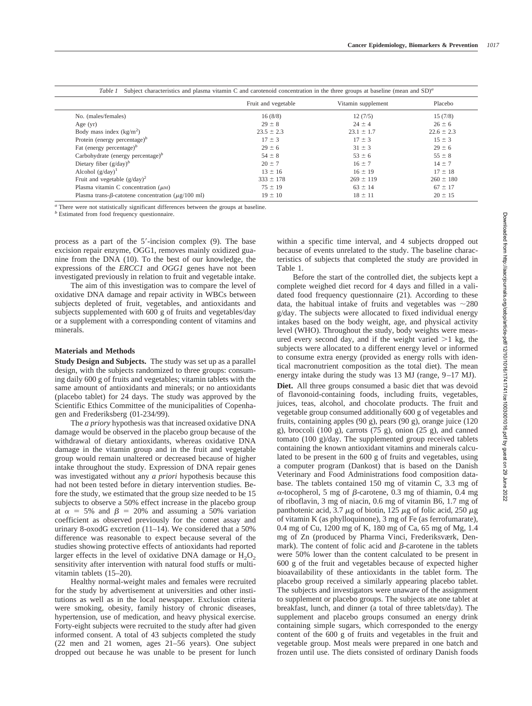|                                                                 | Fruit and vegetable | Vitamin supplement | Placebo        |
|-----------------------------------------------------------------|---------------------|--------------------|----------------|
| No. (males/females)                                             | 16(8/8)             | 12(7/5)            | 15(7/8)        |
| Age $(yr)$                                                      | $29 \pm 8$          | $24 \pm 4$         | $26 \pm 6$     |
| Body mass index $(kg/m2)$                                       | $23.5 \pm 2.3$      | $23.1 \pm 1.7$     | $22.6 \pm 2.3$ |
| Protein (energy percentage) $b$                                 | $17 \pm 3$          | $17 \pm 3$         | $15 \pm 3$     |
| Fat (energy percentage) $b$                                     | $29 \pm 6$          | $31 \pm 3$         | $29 \pm 6$     |
| Carbohydrate (energy percentage) $b$                            | $54 \pm 8$          | $53 \pm 6$         | $55 \pm 8$     |
| Dietary fiber $(g/day)^b$                                       | $20 \pm 7$          | $16 \pm 7$         | $14 \pm 7$     |
| Alcohol $(g/day)^1$                                             | $13 \pm 16$         | $16 \pm 19$        | $17 \pm 18$    |
| Fruit and vegetable $(g/day)^2$                                 | $333 \pm 178$       | $269 \pm 119$      | $260 \pm 180$  |
| Plasma vitamin C concentration $(\mu M)$                        | $75 \pm 19$         | $63 \pm 14$        | $67 \pm 17$    |
| Plasma trans- $\beta$ -catotene concentration ( $\mu$ g/100 ml) | $19 \pm 10$         | $18 \pm 11$        | $20 \pm 15$    |

*<sup>a</sup>* There were not statistically significant differences between the groups at baseline.

*<sup>b</sup>* Estimated from food frequency questionnaire.

process as a part of the  $5'$ -incision complex  $(9)$ . The base excision repair enzyme, OGG1, removes mainly oxidized guanine from the DNA (10). To the best of our knowledge, the expressions of the *ERCC1* and *OGG1* genes have not been investigated previously in relation to fruit and vegetable intake.

The aim of this investigation was to compare the level of oxidative DNA damage and repair activity in WBCs between subjects depleted of fruit, vegetables, and antioxidants and subjects supplemented with 600 g of fruits and vegetables/day or a supplement with a corresponding content of vitamins and minerals.

#### **Materials and Methods**

**Study Design and Subjects.** The study was set up as a parallel design, with the subjects randomized to three groups: consuming daily 600 g of fruits and vegetables; vitamin tablets with the same amount of antioxidants and minerals; or no antioxidants (placebo tablet) for 24 days. The study was approved by the Scientific Ethics Committee of the municipalities of Copenhagen and Frederiksberg (01-234/99).

The *a priory* hypothesis was that increased oxidative DNA damage would be observed in the placebo group because of the withdrawal of dietary antioxidants, whereas oxidative DNA damage in the vitamin group and in the fruit and vegetable group would remain unaltered or decreased because of higher intake throughout the study. Expression of DNA repair genes was investigated without any *a priori* hypothesis because this had not been tested before in dietary intervention studies. Before the study, we estimated that the group size needed to be 15 subjects to observe a 50% effect increase in the placebo group at  $\alpha = 5\%$  and  $\beta = 20\%$  and assuming a 50% variation coefficient as observed previously for the comet assay and urinary 8-oxodG excretion (11–14). We considered that a 50% difference was reasonable to expect because several of the studies showing protective effects of antioxidants had reported larger effects in the level of oxidative DNA damage or  $H_2O_2$ sensitivity after intervention with natural food stuffs or multivitamin tablets (15–20).

Healthy normal-weight males and females were recruited for the study by advertisement at universities and other institutions as well as in the local newspaper. Exclusion criteria were smoking, obesity, family history of chronic diseases, hypertension, use of medication, and heavy physical exercise. Forty-eight subjects were recruited to the study after had given informed consent. A total of 43 subjects completed the study (22 men and 21 women, ages 21–56 years). One subject dropped out because he was unable to be present for lunch

within a specific time interval, and 4 subjects dropped out because of events unrelated to the study. The baseline characteristics of subjects that completed the study are provided in Table 1.

Before the start of the controlled diet, the subjects kept a complete weighed diet record for 4 days and filled in a validated food frequency questionnaire (21). According to these data, the habitual intake of fruits and vegetables was  $\sim$ 280 g/day. The subjects were allocated to fixed individual energy intakes based on the body weight, age, and physical activity level (WHO). Throughout the study, body weights were measured every second day, and if the weight varied  $>1$  kg, the subjects were allocated to a different energy level or informed to consume extra energy (provided as energy rolls with identical macronutrient composition as the total diet). The mean energy intake during the study was 13 MJ (range, 9–17 MJ). **Diet.** All three groups consumed a basic diet that was devoid of flavonoid-containing foods, including fruits, vegetables, juices, teas, alcohol, and chocolate products. The fruit and vegetable group consumed additionally 600 g of vegetables and fruits, containing apples (90 g), pears (90 g), orange juice (120 g), broccoli (100 g), carrots (75 g), onion (25 g), and canned tomato (100 g)/day. The supplemented group received tablets containing the known antioxidant vitamins and minerals calculated to be present in the 600 g of fruits and vegetables, using a computer program (Dankost) that is based on the Danish Veterinary and Food Administrations food composition database. The tablets contained 150 mg of vitamin C, 3.3 mg of  $\alpha$ -tocopherol, 5 mg of  $\beta$ -carotene, 0.3 mg of thiamin, 0.4 mg of riboflavin, 3 mg of niacin, 0.6 mg of vitamin B6, 1.7 mg of panthotenic acid, 3.7  $\mu$ g of biotin, 125  $\mu$ g of folic acid, 250  $\mu$ g of vitamin K (as phylloquinone), 3 mg of Fe (as ferrofumarate), 0.4 mg of Cu, 1200 mg of K, 180 mg of Ca, 65 mg of Mg, 1.4 mg of Zn (produced by Pharma Vinci, Frederiksværk, Denmark). The content of folic acid and  $\beta$ -carotene in the tablets were 50% lower than the content calculated to be present in 600 g of the fruit and vegetables because of expected higher bioavailability of these antioxidants in the tablet form. The placebo group received a similarly appearing placebo tablet. The subjects and investigators were unaware of the assignment to supplement or placebo groups. The subjects ate one tablet at breakfast, lunch, and dinner (a total of three tablets/day). The supplement and placebo groups consumed an energy drink containing simple sugars, which corresponded to the energy content of the 600 g of fruits and vegetables in the fruit and vegetable group. Most meals were prepared in one batch and frozen until use. The diets consisted of ordinary Danish foods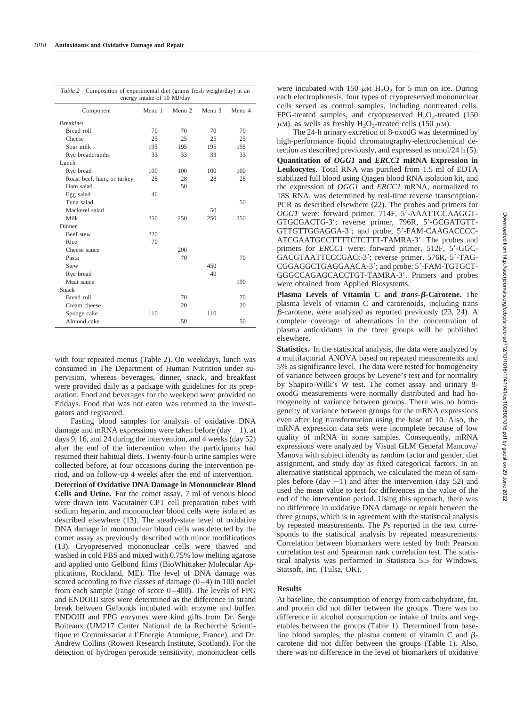| Composition of experimental diet (grams fresh weight/day) at an<br>Table 2<br>energy intake of 10 MJ/day |        |                   |        |                   |  |
|----------------------------------------------------------------------------------------------------------|--------|-------------------|--------|-------------------|--|
| Component                                                                                                | Menu 1 | Menu <sub>2</sub> | Menu 3 | Menu <sub>4</sub> |  |
| <b>Breakfast</b>                                                                                         |        |                   |        |                   |  |
| Bread roll                                                                                               | 70     | 70                | 70     | 70                |  |
| Cheese                                                                                                   | 25     | 25                | 25     | 25                |  |
| Sour milk                                                                                                | 195    | 195               | 195    | 195               |  |
| Rye breadcrumbs                                                                                          | 33     | 33                | 33     | 33                |  |
| Lunch                                                                                                    |        |                   |        |                   |  |
| Rye bread                                                                                                | 100    | 100               | 100    | 100               |  |
| Roast beef, ham, or turkey                                                                               | 28     | 28                | 28     | 28                |  |
| Ham salad                                                                                                |        | 50                |        |                   |  |
| Egg salad                                                                                                | 46     |                   |        |                   |  |
| Tuna salad                                                                                               |        |                   |        | 50                |  |
| Mackerel salad                                                                                           |        |                   | 50     |                   |  |
| Milk                                                                                                     | 250    | 250               | 250    | 250               |  |
| Dinner                                                                                                   |        |                   |        |                   |  |
| <b>Beef</b> stew                                                                                         | 220    |                   |        |                   |  |
| Rice                                                                                                     | 70     |                   |        |                   |  |
| Cheese sauce                                                                                             |        | 200               |        |                   |  |
| Pasta                                                                                                    |        | 70                |        | 70                |  |
| Stew                                                                                                     |        |                   | 450    |                   |  |
| Rye bread                                                                                                |        |                   | 40     |                   |  |
| Meat sauce                                                                                               |        |                   |        | 190               |  |
| Snack                                                                                                    |        |                   |        |                   |  |
| Bread roll                                                                                               |        | 70                |        | 70                |  |
| Cream cheese                                                                                             |        | 20                |        | 20                |  |
| Sponge cake                                                                                              | 110    |                   | 110    |                   |  |
| Almond cake                                                                                              |        | 50                |        | 50                |  |

with four repeated menus (Table 2). On weekdays, lunch was consumed in The Department of Human Nutrition under supervision, whereas beverages, dinner, snack, and breakfast were provided daily as a package with guidelines for its preparation. Food and beverages for the weekend were provided on Fridays. Food that was not eaten was returned to the investigators and registered.

Fasting blood samples for analysis of oxidative DNA damage and mRNA expressions were taken before (day  $-1$ ), at days 9, 16, and 24 during the intervention, and 4 weeks (day 52) after the end of the intervention when the participants had resumed their habitual diets. Twenty-four-h urine samples were collected before, at four occasions during the intervention period, and on follow-up 4 weeks after the end of intervention.

**Detection of Oxidative DNA Damage in Mononuclear Blood Cells and Urine.** For the comet assay, 7 ml of venous blood were drawn into Vacutainer CPT cell preparation tubes with sodium heparin, and mononuclear blood cells were isolated as described elsewhere (13). The steady-state level of oxidative DNA damage in mononuclear blood cells was detected by the comet assay as previously described with minor modifications (13). Cryopreserved mononuclear cells were thawed and washed in cold PBS and mixed with 0.75% low melting agarose and applied onto Gelbond films (BioWhittaker Molecular Applications, Rockland, ME). The level of DNA damage was scored according to five classes of damage (0–4) in 100 nuclei from each sample (range of score 0–400). The levels of FPG and ENDOIII sites were determined as the difference in strand break between Gelbonds incubated with enzyme and buffer. ENDOIII and FPG enzymes were kind gifts from Dr. Serge Boiteaux (UM217 Center National de la Recherché Scientifique et Commissariat a l'Energie Atomique, France), and Dr. Andrew Collins (Rowett Research Institute, Scotland). For the detection of hydrogen peroxide sensitivity, mononuclear cells

were incubated with 150  $\mu$ M H<sub>2</sub>O<sub>2</sub> for 5 min on ice. During each electrophoresis, four types of cryopreserved mononuclear cells served as control samples, including nontreated cells, FPG-treated samples, and cryopreserved  $H_2O_2$ -treated (150)  $\mu$ M), as wells as freshly H<sub>2</sub>O<sub>2</sub>-treated cells (150  $\mu$ M).

The 24-h urinary excretion of 8-oxodG was determined by high-performance liquid chromatography-electrochemical detection as described previously, and expressed as nmol/24 h (5). **Quantitation of** *OGG1* **and** *ERCC1* **mRNA Expression in Leukocytes.** Total RNA was purified from 1.5 ml of EDTA stabilized full blood using Qiagen blood RNA isolation kit, and the expression of *OGG1* and *ERCC1* mRNA, normalized to 18S RNA, was determined by real-time reverse transcription-PCR as described elsewhere (22). The probes and primers for *OGG1* were: forward primer, 714F, 5'-AAATTCCAAGGT-GTGCGACTG-3; reverse primer, 796R, 5-GCGATGTT-GTTGTTGGAGGA-3'; and probe, 5'-FAM-CAAGACCCC-ATCGAATGCCTTTTCTCTTT-TAMRA-3'. The probes and primers for *ERCC1* were: forward primer, 512F, 5'-GGC-GACGTAATTCCCGACt-3'; reverse primer, 576R, 5'-TAG-CGGAGGCTGAGGAACA-3'; and probe: 5'-FAM-TGTGCT-GGGCCAGAGCACCTGT-TAMRA-3'. Primers and probes

**Plasma Levels of Vitamin C and** *trans***--Carotene.** The plasma levels of vitamin C and carotenoids, including trans  $\beta$ -carotene, were analyzed as reported previously (23, 24). A complete coverage of alternations in the concentration of plasma antioxidants in the three groups will be published elsewhere.

were obtained from Applied Biosystems.

**Statistics.** In the statistical analysis, the data were analyzed by a multifactorial ANOVA based on repeated measurements and 5% as significance level. The data were tested for homogeneity of variance between groups by Levene's test and for normality by Shapiro-Wilk's W test. The comet assay and urinary 8 oxodG measurements were normally distributed and had homogeneity of variance between groups. There was no homogeneity of variance between groups for the mRNA expressions even after log transformation using the base of 10. Also, the mRNA expression data sets were incomplete because of low quality of mRNA in some samples. Consequently, mRNA expressions were analyzed by Visual GLM General Mancova/ Manova with subject identity as random factor and gender, diet assignment, and study day as fixed categorical factors. In an alternative statistical approach, we calculated the mean of samples before (day  $-1$ ) and after the intervention (day 52) and used the mean value to test for differences in the value of the end of the intervention period. Using this approach, there was no difference in oxidative DNA damage or repair between the three groups, which is in agreement with the statistical analysis by repeated measurements. The *P*s reported in the text corresponds to the statistical analysis by repeated measurements. Correlation between biomarkers were tested by both Pearson correlation test and Spearman rank correlation test. The statistical analysis was performed in Statistica 5.5 for Windows, Statsoft, Inc. (Tulsa, OK).

#### **Results**

At baseline, the consumption of energy from carbohydrate, fat, and protein did not differ between the groups. There was no difference in alcohol consumption or intake of fruits and vegetables between the groups (Table 1). Determined from baseline blood samples, the plasma content of vitamin C and  $\beta$ carotene did not differ between the groups (Table 1). Also, there was no difference in the level of biomarkers of oxidative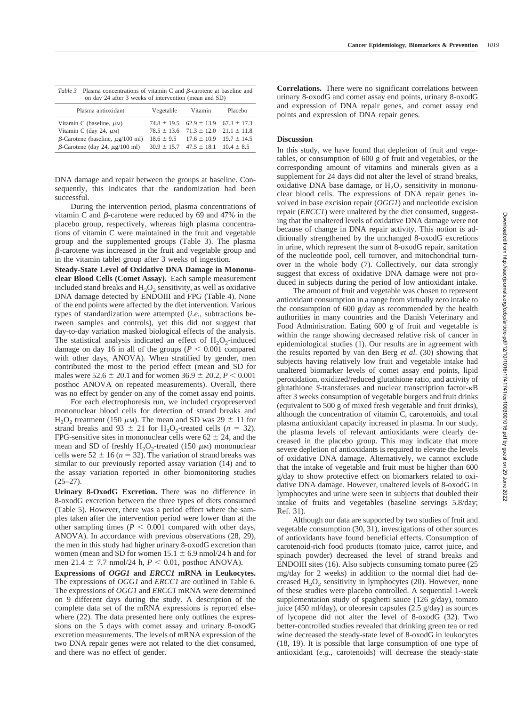| Cancer Epidemiology, Biomarkers & Prevention | 1019 |
|----------------------------------------------|------|
|                                              |      |

| Table 3 Plasma concentrations of vitamin C and $\beta$ -carotene at baseline and |
|----------------------------------------------------------------------------------|
| on day 24 after 3 weeks of intervention (mean and SD)                            |

| Plasma antioxidant                           | Vegetable | Vitamin                                         | Placebo |
|----------------------------------------------|-----------|-------------------------------------------------|---------|
| Vitamin C (baseline, $\mu$ M)                |           | $74.8 \pm 19.5$ $62.9 \pm 13.9$ $67.3 \pm 17.3$ |         |
| Vitamin C (day 24, $\mu$ M)                  |           | $78.5 \pm 13.6$ $71.3 \pm 12.0$ $21.1 \pm 11.8$ |         |
| $\beta$ -Carotene (baseline, $\mu$ g/100 ml) |           | $18.6 \pm 9.5$ $17.6 \pm 10.9$ $19.7 \pm 14.5$  |         |
| $\beta$ -Carotene (day 24, $\mu$ g/100 ml)   |           | $30.9 \pm 15.7$ $47.5 \pm 18.1$ $10.4 \pm 8.5$  |         |

DNA damage and repair between the groups at baseline. Consequently, this indicates that the randomization had been successful.

During the intervention period, plasma concentrations of vitamin C and  $\beta$ -carotene were reduced by 69 and 47% in the placebo group, respectively, whereas high plasma concentrations of vitamin C were maintained in the fruit and vegetable group and the supplemented groups (Table 3). The plasma --carotene was increased in the fruit and vegetable group and in the vitamin tablet group after 3 weeks of ingestion.

**Steady-State Level of Oxidative DNA Damage in Mononuclear Blood Cells (Comet Assay).** Each sample measurement included stand breaks and  $H_2O_2$  sensitivity, as well as oxidative DNA damage detected by ENDOIII and FPG (Table 4). None of the end points were affected by the diet intervention. Various types of standardization were attempted (*i.e.,* subtractions between samples and controls), yet this did not suggest that day-to-day variation masked biological effects of the analysis. The statistical analysis indicated an effect of  $H_2O_2$ -induced damage on day 16 in all of the groups  $(P < 0.001$  compared with other days, ANOVA). When stratified by gender, men contributed the most to the period effect (mean and SD for males were  $52.6 \pm 20.1$  and for women  $36.9 \pm 20.2$ ,  $P < 0.001$ posthoc ANOVA on repeated measurements). Overall, there was no effect by gender on any of the comet assay end points.

For each electrophoresis run, we included cryopreserved mononuclear blood cells for detection of strand breaks and H<sub>2</sub>O<sub>2</sub> treatment (150  $\mu$ M). The mean and SD was 29  $\pm$  11 for strand breaks and  $93 \pm 21$  for H<sub>2</sub>O<sub>2</sub>-treated cells (*n* = 32). FPG-sensitive sites in mononuclear cells were  $62 \pm 24$ , and the mean and SD of freshly  $H_2O_2$ -treated (150  $\mu$ M) mononuclear cells were  $52 \pm 16$  ( $n = 32$ ). The variation of strand breaks was similar to our previously reported assay variation (14) and to the assay variation reported in other biomonitoring studies  $(25-27)$ .

**Urinary 8-OxodG Excretion.** There was no difference in 8-oxodG excretion between the three types of diets consumed (Table 5). However, there was a period effect where the samples taken after the intervention period were lower than at the other sampling times  $(P < 0.001$  compared with other days, ANOVA). In accordance with previous observations (28, 29), the men in this study had higher urinary 8-oxodG excretion than women (mean and SD for women  $15.1 \pm 6.9$  nmol/24 h and for men 21.4  $\pm$  7.7 nmol/24 h,  $P < 0.01$ , posthoc ANOVA).

**Expressions of** *OGG1* **and** *ERCC1* **mRNA in Leukocytes.** The expressions of *OGG1* and *ERCC1* are outlined in Table 6. The expressions of *OGG1* and *ERCC1* mRNA were determined on 9 different days during the study. A description of the complete data set of the mRNA expressions is reported elsewhere (22). The data presented here only outlines the expressions on the 5 days with comet assay and urinary 8-oxodG excretion measurements. The levels of mRNA expression of the two DNA repair genes were not related to the diet consumed, and there was no effect of gender.

**Correlations.** There were no significant correlations between urinary 8-oxodG and comet assay end points, urinary 8-oxodG and expression of DNA repair genes, and comet assay end points and expression of DNA repair genes.

# **Discussion**

In this study, we have found that depletion of fruit and vegetables, or consumption of 600 g of fruit and vegetables, or the corresponding amount of vitamins and minerals given as a supplement for 24 days did not alter the level of strand breaks, oxidative DNA base damage, or  $H_2O_2$  sensitivity in mononuclear blood cells. The expressions of DNA repair genes involved in base excision repair (*OGG1*) and nucleotide excision repair (*ERCC1*) were unaltered by the diet consumed, suggesting that the unaltered levels of oxidative DNA damage were not because of change in DNA repair activity. This notion is additionally strengthened by the unchanged 8-oxodG excretions in urine, which represent the sum of 8-oxodG repair, sanitation of the nucleotide pool, cell turnover, and mitochondrial turnover in the whole body (7). Collectively, our data strongly suggest that excess of oxidative DNA damage were not produced in subjects during the period of low antioxidant intake.

The amount of fruit and vegetable was chosen to represent antioxidant consumption in a range from virtually zero intake to the consumption of 600 g/day as recommended by the health authorities in many countries and the Danish Veterinary and Food Administration. Eating 600 g of fruit and vegetable is within the range showing decreased relative risk of cancer in epidemiological studies (1). Our results are in agreement with the results reported by van den Berg *et al.* (30) showing that subjects having relatively low fruit and vegetable intake had unaltered biomarker levels of comet assay end points, lipid peroxidation, oxidized/reduced glutathione ratio, and activity of glutathione *S*-transferases and nuclear transcription factor- $\kappa$ B after 3 weeks consumption of vegetable burgers and fruit drinks (equivalent to 500 g of mixed fresh vegetable and fruit drinks), although the concentration of vitamin C, carotenoids, and total plasma antioxidant capacity increased in plasma. In our study, the plasma levels of relevant antioxidants were clearly decreased in the placebo group. This may indicate that more severe depletion of antioxidants is required to elevate the levels of oxidative DNA damage. Alternatively, we cannot exclude that the intake of vegetable and fruit must be higher than 600 g/day to show protective effect on biomarkers related to oxidative DNA damage. However, unaltered levels of 8-oxodG in lymphocytes and urine were seen in subjects that doubled their intake of fruits and vegetables (baseline servings 5.8/day; Ref. 31).

Although our data are supported by two studies of fruit and vegetable consumption (30, 31), investigations of other sources of antioxidants have found beneficial effects. Consumption of carotenoid-rich food products (tomato juice, carrot juice, and spinach powder) decreased the level of strand breaks and ENDOIII sites (16). Also subjects consuming tomato puree (25 mg/day for 2 weeks) in addition to the normal diet had decreased  $H_2O_2$  sensitivity in lymphocytes (20). However, none of these studies were placebo controlled. A sequential 1-week supplementation study of spaghetti sauce (126 g/day), tomato juice (450 ml/day), or oleoresin capsules (2.5 g/day) as sources of lycopene did not alter the level of 8-oxodG (32). Two better-controlled studies revealed that drinking green tea or red wine decreased the steady-state level of 8-oxodG in leukocytes (18, 19). It is possible that large consumption of one type of antioxidant (*e.g.,* carotenoids) will decrease the steady-state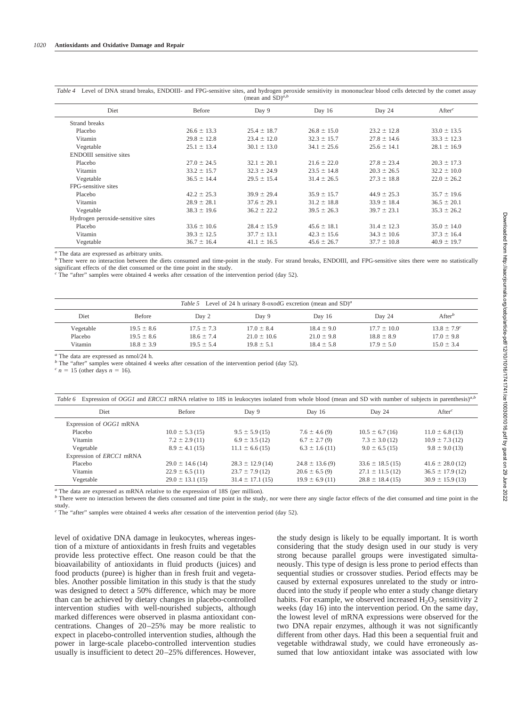| Diet                              | Before          | Day 9           | Day 16          | Day 24          | After <sup>c</sup> |
|-----------------------------------|-----------------|-----------------|-----------------|-----------------|--------------------|
| Strand breaks                     |                 |                 |                 |                 |                    |
| Placebo                           | $26.6 \pm 13.3$ | $25.4 \pm 18.7$ | $26.8 \pm 15.0$ | $23.2 \pm 12.8$ | $33.0 \pm 13.5$    |
| Vitamin                           | $29.8 \pm 12.8$ | $23.4 \pm 12.0$ | $32.3 \pm 15.7$ | $27.8 \pm 14.6$ | $33.3 \pm 12.3$    |
| Vegetable                         | $25.1 \pm 13.4$ | $30.1 \pm 13.0$ | $34.1 \pm 25.6$ | $25.6 \pm 14.1$ | $28.1 \pm 16.9$    |
| <b>ENDOIII</b> sensitive sites    |                 |                 |                 |                 |                    |
| Placebo                           | $27.0 \pm 24.5$ | $32.1 \pm 20.1$ | $21.6 \pm 22.0$ | $27.8 \pm 23.4$ | $20.3 \pm 17.3$    |
| Vitamin                           | $33.2 \pm 15.7$ | $32.3 \pm 24.9$ | $23.5 \pm 14.8$ | $20.3 \pm 26.5$ | $32.2 \pm 10.0$    |
| Vegetable                         | $36.5 \pm 14.4$ | $29.5 \pm 15.4$ | $31.4 \pm 26.5$ | $27.3 \pm 18.8$ | $22.0 \pm 26.2$    |
| FPG-sensitive sites               |                 |                 |                 |                 |                    |
| Placebo                           | $42.2 \pm 25.3$ | $39.9 \pm 29.4$ | $35.9 \pm 15.7$ | $44.9 \pm 25.3$ | $35.7 \pm 19.6$    |
| Vitamin                           | $28.9 \pm 28.1$ | $37.6 \pm 29.1$ | $31.2 \pm 18.8$ | $33.9 \pm 18.4$ | $36.5 \pm 20.1$    |
| Vegetable                         | $38.3 \pm 19.6$ | $36.2 \pm 22.2$ | $39.5 \pm 26.3$ | $39.7 \pm 23.1$ | $35.3 \pm 26.2$    |
| Hydrogen peroxide-sensitive sites |                 |                 |                 |                 |                    |
| Placebo                           | $33.6 \pm 10.6$ | $28.4 \pm 15.9$ | $45.6 \pm 18.1$ | $31.4 \pm 12.3$ | $35.0 \pm 14.0$    |
| Vitamin                           | $39.3 \pm 12.5$ | $37.7 \pm 13.1$ | $42.3 \pm 15.6$ | $34.3 \pm 10.6$ | $37.3 \pm 16.4$    |
| Vegetable                         | $36.7 \pm 16.4$ | $41.1 \pm 16.5$ | $45.6 \pm 26.7$ | $37.7 \pm 10.8$ | $40.9 \pm 19.7$    |
|                                   |                 |                 |                 |                 |                    |

*Table 4* Level of DNA strand breaks, ENDOIII- and FPG-sensitive sites, and hydrogen peroxide sensitivity in mononuclear blood cells detected by the comet assay (mean and  $SD)^{a,b}$ 

*<sup>a</sup>* The data are expressed as arbitrary units.

*b* There were no interaction between the diets consumed and time-point in the study. For strand breaks, ENDOIII, and FPG-sensitive sites there were no statistically significant effects of the diet consumed or the time point in the study.

*<sup>c</sup>* The "after" samples were obtained 4 weeks after cessation of the intervention period (day 52).

| Table 5 Level of 24 h urinary 8-oxodG excretion (mean and $SD)^a$ ) |                |                |                 |                |                 |                             |
|---------------------------------------------------------------------|----------------|----------------|-----------------|----------------|-----------------|-----------------------------|
| Diet                                                                | <b>Before</b>  | Day 2          | Day 9           | Day $16$       | Day 24          | After <sup>b</sup>          |
| Vegetable                                                           | $19.5 \pm 8.6$ | $17.5 \pm 7.3$ | $17.0 \pm 8.4$  | $18.4 \pm 9.0$ | $17.7 \pm 10.0$ | $13.8 \pm 7.9$ <sup>c</sup> |
| Placebo                                                             | $19.5 \pm 8.6$ | $18.6 \pm 7.4$ | $21.0 \pm 10.6$ | $21.0 \pm 9.8$ | $18.8 \pm 8.9$  | $17.0 \pm 9.8$              |
| Vitamin                                                             | $18.8 \pm 3.9$ | $19.5 \pm 5.4$ | $19.8 \pm 5.1$  | $18.4 \pm 5.8$ | $17.9 \pm 5.0$  | $15.0 \pm 3.4$              |

*<sup>a</sup>* The data are expressed as nmol/24 h.

*b* The "after" samples were obtained 4 weeks after cessation of the intervention period (day 52).

 $= 15$  (other days  $n = 16$ ).

| Expression of OGG1 and ERCC1 mRNA relative to 18S in leukocytes isolated from whole blood (mean and SD with number of subjects in parenthesis) <sup>a,b</sup><br>Table 6 |                      |                      |                     |                      |                      |  |
|--------------------------------------------------------------------------------------------------------------------------------------------------------------------------|----------------------|----------------------|---------------------|----------------------|----------------------|--|
| <b>Diet</b>                                                                                                                                                              | <b>Before</b>        | Day 9                | Day 16              | Day 24               | Afterc               |  |
| Expression of <i>OGG1</i> mRNA                                                                                                                                           |                      |                      |                     |                      |                      |  |
| Placebo                                                                                                                                                                  | $10.0 \pm 5.3$ (15)  | $9.5 \pm 5.9$ (15)   | $7.6 \pm 4.6(9)$    | $10.5 \pm 6.7$ (16)  | $11.0 \pm 6.8$ (13)  |  |
| Vitamin                                                                                                                                                                  | $7.2 \pm 2.9$ (11)   | $6.9 \pm 3.5$ (12)   | $6.7 \pm 2.7(9)$    | $7.3 \pm 3.0$ (12)   | $10.9 \pm 7.3$ (12)  |  |
| Vegetable                                                                                                                                                                | $8.9 \pm 4.1$ (15)   | $11.1 \pm 6.6$ (15)  | $6.3 \pm 1.6$ (11)  | $9.0 \pm 6.5$ (15)   | $9.8 \pm 9.0$ (13)   |  |
| Expression of <i>ERCC1</i> mRNA                                                                                                                                          |                      |                      |                     |                      |                      |  |
| Placebo                                                                                                                                                                  | $29.0 \pm 14.6$ (14) | $28.3 \pm 12.9$ (14) | $24.8 \pm 13.6$ (9) | $33.6 \pm 18.5$ (15) | $41.6 \pm 28.0$ (12) |  |
| Vitamin                                                                                                                                                                  | $22.9 \pm 6.5$ (11)  | $23.7 \pm 7.9$ (12)  | $20.6 \pm 6.5(9)$   | $27.1 \pm 11.5$ (12) | $36.5 \pm 17.9$ (12) |  |
| Vegetable                                                                                                                                                                | $29.0 \pm 13.1$ (15) | $31.4 \pm 17.1(15)$  | $19.9 \pm 6.9$ (11) | $28.8 \pm 18.4$ (15) | $30.9 \pm 15.9$ (13) |  |

*<sup>a</sup>* The data are expressed as mRNA relative to the expression of 18S (per million).

*b* There were no interaction between the diets consumed and time point in the study, nor were there any single factor effects of the diet consumed and time point in the study.

*<sup>c</sup>* The "after" samples were obtained 4 weeks after cessation of the intervention period (day 52).

level of oxidative DNA damage in leukocytes, whereas ingestion of a mixture of antioxidants in fresh fruits and vegetables provide less protective effect. One reason could be that the bioavailability of antioxidants in fluid products (juices) and food products (puree) is higher than in fresh fruit and vegetables. Another possible limitation in this study is that the study was designed to detect a 50% difference, which may be more than can be achieved by dietary changes in placebo-controlled intervention studies with well-nourished subjects, although marked differences were observed in plasma antioxidant concentrations. Changes of 20–25% may be more realistic to expect in placebo-controlled intervention studies, although the power in large-scale placebo-controlled intervention studies usually is insufficient to detect 20–25% differences. However,

the study design is likely to be equally important. It is worth considering that the study design used in our study is very strong because parallel groups were investigated simultaneously. This type of design is less prone to period effects than sequential studies or crossover studies. Period effects may be caused by external exposures unrelated to the study or introduced into the study if people who enter a study change dietary habits. For example, we observed increased  $H_2O_2$  sensitivity 2 weeks (day 16) into the intervention period. On the same day, the lowest level of mRNA expressions were observed for the two DNA repair enzymes, although it was not significantly different from other days. Had this been a sequential fruit and vegetable withdrawal study, we could have erroneously assumed that low antioxidant intake was associated with low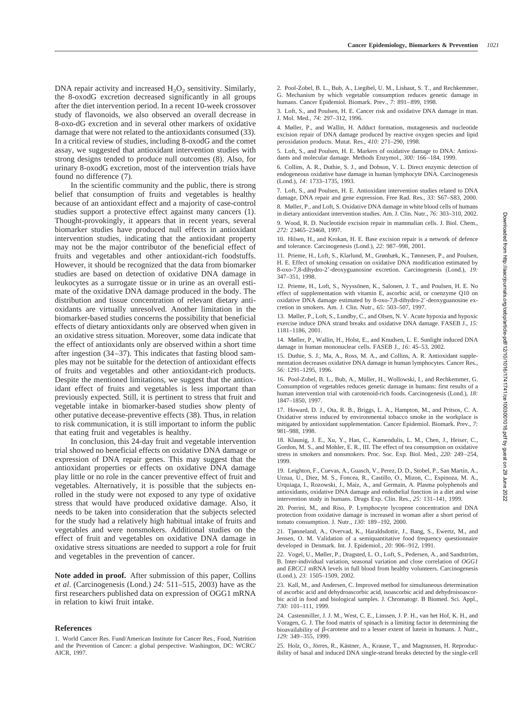DNA repair activity and increased  $H_2O_2$  sensitivity. Similarly, the 8-oxodG excretion decreased significantly in all groups after the diet intervention period. In a recent 10-week crossover study of flavonoids, we also observed an overall decrease in 8-oxo-dG excretion and in several other markers of oxidative damage that were not related to the antioxidants consumed (33). In a critical review of studies, including 8-oxodG and the comet assay, we suggested that antioxidant intervention studies with strong designs tended to produce null outcomes (8). Also, for urinary 8-oxodG excretion, most of the intervention trials have found no difference (7).

In the scientific community and the public, there is strong belief that consumption of fruits and vegetables is healthy because of an antioxidant effect and a majority of case-control studies support a protective effect against many cancers (1). Thought-provokingly, it appears that in recent years, several biomarker studies have produced null effects in antioxidant intervention studies, indicating that the antioxidant property may not be the major contributor of the beneficial effect of fruits and vegetables and other antioxidant-rich foodstuffs. However, it should be recognized that the data from biomarker studies are based on detection of oxidative DNA damage in leukocytes as a surrogate tissue or in urine as an overall estimate of the oxidative DNA damage produced in the body. The distribution and tissue concentration of relevant dietary antioxidants are virtually unresolved. Another limitation in the biomarker-based studies concerns the possibility that beneficial effects of dietary antioxidants only are observed when given in an oxidative stress situation. Moreover, some data indicate that the effect of antioxidants only are observed within a short time after ingestion (34–37). This indicates that fasting blood samples may not be suitable for the detection of antioxidant effects of fruits and vegetables and other antioxidant-rich products. Despite the mentioned limitations, we suggest that the antioxidant effect of fruits and vegetables is less important than previously expected. Still, it is pertinent to stress that fruit and vegetable intake in biomarker-based studies show plenty of other putative decease-preventive effects (38). Thus, in relation to risk communication, it is still important to inform the public that eating fruit and vegetables is healthy.

In conclusion, this 24-day fruit and vegetable intervention trial showed no beneficial effects on oxidative DNA damage or expression of DNA repair genes. This may suggest that the antioxidant properties or effects on oxidative DNA damage play little or no role in the cancer preventive effect of fruit and vegetables. Alternatively, it is possible that the subjects enrolled in the study were not exposed to any type of oxidative stress that would have produced oxidative damage. Also, it needs to be taken into consideration that the subjects selected for the study had a relatively high habitual intake of fruits and vegetables and were nonsmokers. Additional studies on the effect of fruit and vegetables on oxidative DNA damage in oxidative stress situations are needed to support a role for fruit and vegetables in the prevention of cancer.

**Note added in proof.** After submission of this paper, Collins *et al*. (Carcinogenesis (Lond.) *24:* 511–515, 2003) have as the first researchers published data on expression of OGG1 mRNA in relation to kiwi fruit intake.

#### **References**

1. World Cancer Res. Fund/American Institute for Cancer Res., Food, Nutrition and the Prevention of Cancer: a global perspective. Washington, DC: WCRC/ AICR, 1997.

2. Pool-Zobel, B. L., Bub, A., Liegibel, U. M., Lishaut, S. T., and Rechkemmer, G. Mechanism by which vegetable consumption reduces genetic damage in humans. Cancer Epidemiol. Biomark. Prev., *7:* 891–899, 1998.

3. Loft, S., and Poulsen, H. E. Cancer risk and oxidative DNA damage in man. J. Mol. Med., *74:* 297–312, 1996.

4. Møller, P., and Wallin, H. Adduct formation, mutagenesis and nucleotide excision repair of DNA damage produced by reactive oxygen species and lipid peroxidation products. Mutat. Res., *410:* 271–290, 1998.

5. Loft, S., and Poulsen, H. E. Markers of oxidative damage to DNA: Antioxidants and molecular damage. Methods Enzymol., *300:* 166–184, 1999.

6. Collins, A. R., Duthie, S. J., and Dobson, V. L. Direct enzymic detection of endogeneous oxidative base damage in human lymphocyte DNA. Carcinogenesis (Lond.), *14:* 1733–1735, 1993.

7. Loft, S., and Poulsen, H. E. Antioxidant intervention studies related to DNA damage, DNA repair and gene expression. Free Rad. Res., *33:* S67–S83, 2000.

8. Møller, P., and Loft, S. Oxidative DNA damage in white blood cells of humans in dietary antioxidant intervention studies. Am. J. Clin. Nutr., *76:* 303–310, 2002.

9. Wood, R. D. Nucleotide excision repair in mammalian cells. J. Biol. Chem., *272:* 23465–23468, 1997.

10. Hilsen, H., and Krokan, H. E. Base excision repair is a network of defence and tolerance. Carcinogenesis (Lond.), *22:* 987–998, 2001.

11. Prieme, H., Loft, S., Klarlund, M., Grønbæk, K., Tønnesen, P., and Poulsen, H. E. Effect of smoking cessation on oxidative DNA modification estimated by 8-oxo-7,8-dihydro-2-deoxyguanosine excretion. Carcinogenesis (Lond.), *19:* 347–351, 1998.

12. Prieme, H., Loft, S., Nyyssönen, K., Salonen, J. T., and Poulsen, H. E. No effect of supplementation with vitamin E, ascorbic acid, or coenzyme Q10 on oxidative DNA damage estimated by 8-oxo-7,8-dihydro-2-deoxyguanosine excretion in smokers. Am. J. Clin. Nutr., *65:* 503–507, 1997.

13. Møller, P., Loft, S., Lundby, C., and Olsen, N. V. Acute hypoxia and hypoxic exercise induce DNA strand breaks and oxidative DNA damage. FASEB J., *15:* 1181–1186, 2001.

14. Møller, P., Wallin, H., Holst, E., and Knudsen, L. E. Sunlight induced DNA damage in human mononuclear cells. FASEB J., *16:* 45–53, 2002.

15. Duthie, S. J., Ma, A., Ross, M. A., and Collins, A. R. Antioxidant supplementation decreases oxidative DNA damage in human lymphocytes. Cancer Res., *56:* 1291–1295, 1996.

16. Pool-Zobel, B. L., Bub, A., Müller, H., Wollowski, I., and Rechkemmer, G. Consumption of vegetables reduces genetic damage in humans: first results of a human intervention trial with carotenoid-rich foods. Carcinogenesis (Lond.), *18:* 1847–1850, 1997.

17. Howard, D. J., Ota, R. B., Briggs, L. A., Hampton, M., and Pritsos, C. A. Oxidative stress induced by environmental tobacco smoke in the workplace is mitigated by antioxidant supplementation. Cancer Epidemiol. Biomark. Prev., *7:* 981–988, 1998.

18. Klaunig, J. E., Xu, Y., Han, C., Kamendulis, L. M., Chen, J., Heiser, C., Gordon, M. S., and Mohler, E. R., III. The effect of tea consumption on oxidative stress in smokers and nonsmokers. Proc. Soc. Exp. Biol. Med., *220:* 249–254, 1999.

19. Leighton, F., Cuevas, A., Guasch, V., Perez, D. D., Stobel, P., San Martin, A., Urzua, U., Diez, M. S., Foncea, R., Castillo, O., Mizon, C., Espinoza, M. A., Urquiaga, I., Rozowski, J., Maiz, A., and Germain, A. Plasma polyphenols and antioxidants, oxidative DNA damage and endothelial function in a diet and wine intervention study in humans. Drugs Exp. Clin. Res., *25:* 131–141, 1999.

20. Porrini, M., and Riso, P. Lymphocyte lycopene concentration and DNA protection from oxidative damage is increased in woman after a short period of tomato consumption. J. Nutr., *130:* 189–192, 2000.

21. Tjønneland, A., Overvad, K., Haraldsdottir, J., Bang, S., Ewertz, M., and Jensen, O. M. Validation of a semiquantitative food frequency questionnaire developed in Denmark. Int. J. Epidemiol., *20:* 906–912, 1991.

22. Vogel, U., Møller, P., Dragsted, L. O., Loft, S., Pedersen, A., and Sandström, B. Inter-individual variation, seasonal variation and close correlation of *OGG1* and *ERCC1* mRNA levels in full blood from healthy volunteers. Carcinogenesis (Lond.), *23:* 1505–1509, 2002.

23. Kall, M., and Andersen, C. Improved method for simultaneous determination of ascorbic acid and dehydroascorbic acid, isoascorbic acid and dehydroisoascorbic acid in food and biological samples. J. Chromatogr. B Biomed. Sci. Appl., *730:* 101–111, 1999.

24. Castenmiller, J. J. M., West, C. E., Linssen, J. P. H., van het Hof, K. H., and Voragen, G. J. The food matrix of spinach is a limiting factor in determining the bioavailability of  $\beta$ -carotene and to a lesser extent of lutein in humans. J. Nutr., *129:* 349–355, 1999.

25. Holz, O., Jörres, R., Kästner, A., Krause, T., and Magnussen, H. Reproducibility of basal and induced DNA single-strand breaks detected by the single-cell